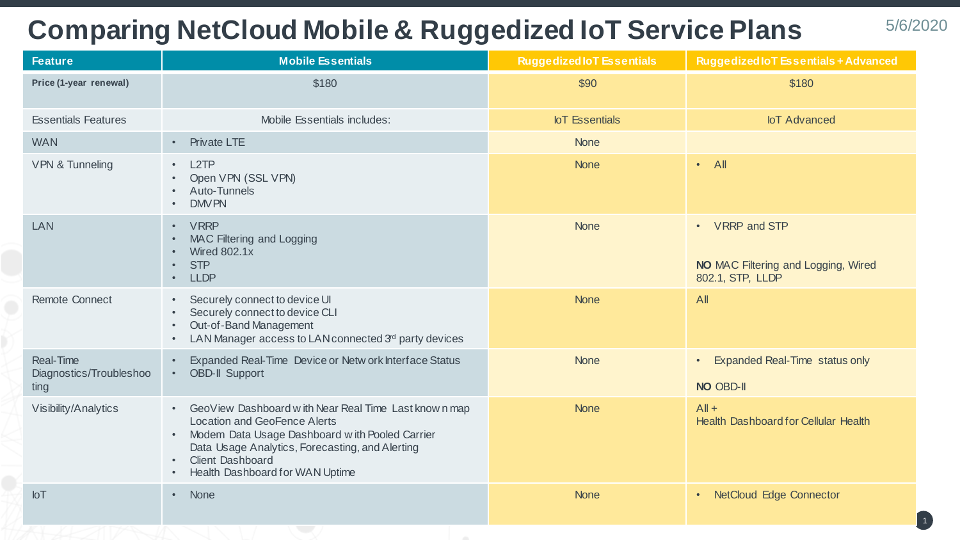## **Comparing NetCloud Mobile & Ruggedized IoT Service Plans**

| <b>Feature</b>                                      | <b>Mobile Essentials</b>                                                                                                                                                                                                                                                    | <b>Ruggedized IoT Essentials</b> | <b>Ruggedized IoT Essentials + Advanced</b>                                                 |
|-----------------------------------------------------|-----------------------------------------------------------------------------------------------------------------------------------------------------------------------------------------------------------------------------------------------------------------------------|----------------------------------|---------------------------------------------------------------------------------------------|
| Price (1-year renewal)                              | \$180                                                                                                                                                                                                                                                                       | \$90                             | \$180                                                                                       |
| <b>Essentials Features</b>                          | Mobile Essentials includes:                                                                                                                                                                                                                                                 | <b>IoT</b> Essentials            | <b>IoT</b> Advanced                                                                         |
| <b>WAN</b>                                          | <b>Private LTE</b><br>$\bullet$                                                                                                                                                                                                                                             | <b>None</b>                      |                                                                                             |
| <b>VPN &amp; Tunneling</b>                          | L <sub>2</sub> TP<br>$\bullet$<br>Open VPN (SSL VPN)<br>Auto-Tunnels<br><b>DMV PN</b>                                                                                                                                                                                       | <b>None</b>                      | $\cdot$ All                                                                                 |
| LAN                                                 | <b>VRRP</b><br>$\bullet$<br>MAC Filtering and Logging<br><b>Wired 802.1x</b><br><b>STP</b><br><b>LLDP</b>                                                                                                                                                                   | <b>None</b>                      | VRRP and STP<br>$\bullet$<br><b>NO</b> MAC Filtering and Logging, Wired<br>802.1, STP, LLDP |
| <b>Remote Connect</b>                               | Securely connect to device UI<br>Securely connect to device CLI<br>Out-of-Band Management<br>LAN Manager access to LAN connected 3rd party devices                                                                                                                          | <b>None</b>                      | AII                                                                                         |
| <b>Real-Time</b><br>Diagnostics/Troubleshoo<br>ting | Expanded Real-Time Device or Netw ork Interface Status<br><b>OBD-II Support</b>                                                                                                                                                                                             | <b>None</b>                      | <b>Expanded Real-Time status only</b><br>NO OBD-II                                          |
| Visibility/Analytics                                | GeoView Dashboard with Near Real Time Last known map<br>$\bullet$<br><b>Location and GeoFence Alerts</b><br>Modem Data Usage Dashboard with Pooled Carrier<br>Data Usage Analytics, Forecasting, and Alerting<br><b>Client Dashboard</b><br>Health Dashboard for WAN Uptime | <b>None</b>                      | $All +$<br><b>Health Dashboard for Cellular Health</b>                                      |
| I <sub>o</sub>                                      | None<br>$\bullet$                                                                                                                                                                                                                                                           | <b>None</b>                      | • NetCloud Edge Connector                                                                   |

1

5/6/2020